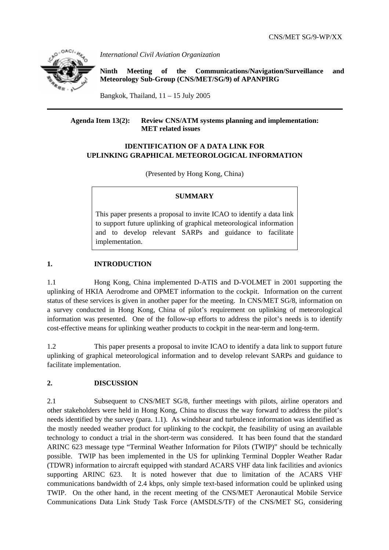

*International Civil Aviation Organization* 

**Ninth Meeting of the Communications/Navigation/Surveillance and Meteorology Sub-Group (CNS/MET/SG/9) of APANPIRG**

Bangkok, Thailand,  $11 - 15$  July 2005

### **Agenda Item 13(2): Review CNS/ATM systems planning and implementation: MET related issues**

## **IDENTIFICATION OF A DATA LINK FOR UPLINKING GRAPHICAL METEOROLOGICAL INFORMATION**

(Presented by Hong Kong, China)

### **SUMMARY**

This paper presents a proposal to invite ICAO to identify a data link to support future uplinking of graphical meteorological information and to develop relevant SARPs and guidance to facilitate implementation.

# **1. INTRODUCTION**

1.1 Hong Kong, China implemented D-ATIS and D-VOLMET in 2001 supporting the uplinking of HKIA Aerodrome and OPMET information to the cockpit. Information on the current status of these services is given in another paper for the meeting. In CNS/MET SG/8, information on a survey conducted in Hong Kong, China of pilot's requirement on uplinking of meteorological information was presented. One of the follow-up efforts to address the pilot's needs is to identify cost-effective means for uplinking weather products to cockpit in the near-term and long-term.

1.2 This paper presents a proposal to invite ICAO to identify a data link to support future uplinking of graphical meteorological information and to develop relevant SARPs and guidance to facilitate implementation.

## **2. DISCUSSION**

2.1 Subsequent to CNS/MET SG/8, further meetings with pilots, airline operators and other stakeholders were held in Hong Kong, China to discuss the way forward to address the pilot's needs identified by the survey (para. 1.1). As windshear and turbulence information was identified as the mostly needed weather product for uplinking to the cockpit, the feasibility of using an available technology to conduct a trial in the short-term was considered. It has been found that the standard ARINC 623 message type "Terminal Weather Information for Pilots (TWIP)" should be technically possible. TWIP has been implemented in the US for uplinking Terminal Doppler Weather Radar (TDWR) information to aircraft equipped with standard ACARS VHF data link facilities and avionics supporting ARINC 623. It is noted however that due to limitation of the ACARS VHF communications bandwidth of 2.4 kbps, only simple text-based information could be uplinked using TWIP. On the other hand, in the recent meeting of the CNS/MET Aeronautical Mobile Service Communications Data Link Study Task Force (AMSDLS/TF) of the CNS/MET SG, considering